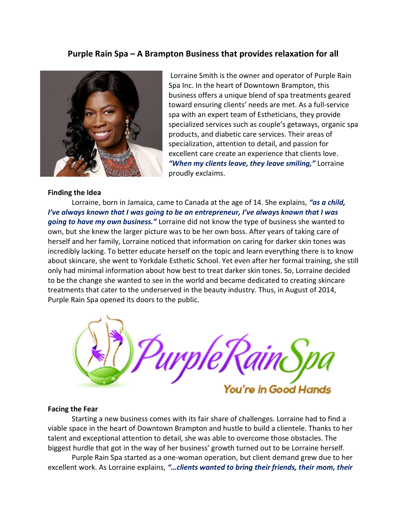# Purple Rain Spa – A Brampton Business that provides relaxation for all



#### Finding the Idea

 Lorraine Smith is the owner and operator of Purple Rain Spa Inc. In the heart of Downtown Brampton, this business offers a unique blend of spa treatments geared toward ensuring clients' needs are met. As a full-service spa with an expert team of Estheticians, they provide specialized services such as couple's getaways, organic spa products, and diabetic care services. Their areas of specialization, attention to detail, and passion for excellent care create an experience that clients love. "When my clients leave, they leave smiling," Lorraine proudly exclaims.

Lorraine, born in Jamaica, came to Canada at the age of 14. She explains, "as a child, I've always known that I was going to be an entrepreneur, I've always known that I was going to have my own business." Lorraine did not know the type of business she wanted to own, but she knew the larger picture was to be her own boss. After years of taking care of herself and her family, Lorraine noticed that information on caring for darker skin tones was incredibly lacking. To better educate herself on the topic and learn everything there is to know about skincare, she went to Yorkdale Esthetic School. Yet even after her formal training, she still only had minimal information about how best to treat darker skin tones. So, Lorraine decided to be the change she wanted to see in the world and became dedicated to creating skincare treatments that cater to the underserved in the beauty industry. Thus, in August of 2014, Purple Rain Spa opened its doors to the public.



#### Facing the Fear

 Starting a new business comes with its fair share of challenges. Lorraine had to find a viable space in the heart of Downtown Brampton and hustle to build a clientele. Thanks to her talent and exceptional attention to detail, she was able to overcome those obstacles. The biggest hurdle that got in the way of her business' growth turned out to be Lorraine herself.

 Purple Rain Spa started as a one-woman operation, but client demand grew due to her excellent work. As Lorraine explains, "... clients wanted to bring their friends, their mom, their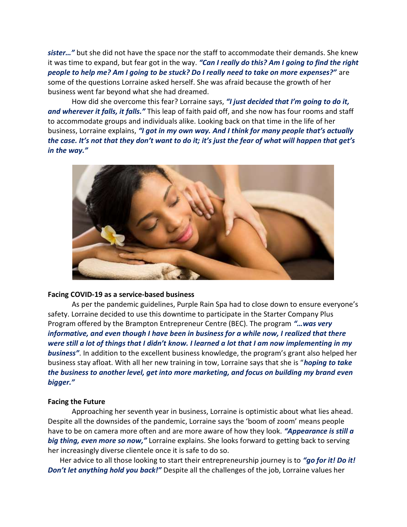sister..." but she did not have the space nor the staff to accommodate their demands. She knew it was time to expand, but fear got in the way. "Can I really do this? Am I going to find the right people to help me? Am I going to be stuck? Do I really need to take on more expenses?" are some of the questions Lorraine asked herself. She was afraid because the growth of her business went far beyond what she had dreamed.

How did she overcome this fear? Lorraine says, "I just decided that I'm going to do it, and wherever it falls, it falls." This leap of faith paid off, and she now has four rooms and staff to accommodate groups and individuals alike. Looking back on that time in the life of her business, Lorraine explains, "I got in my own way. And I think for many people that's actually the case. It's not that they don't want to do it; it's just the fear of what will happen that get's in the way."



### Facing COVID-19 as a service-based business

As per the pandemic guidelines, Purple Rain Spa had to close down to ensure everyone's safety. Lorraine decided to use this downtime to participate in the Starter Company Plus Program offered by the Brampton Entrepreneur Centre (BEC). The program "... was very informative, and even though I have been in business for a while now, I realized that there were still a lot of things that I didn't know. I learned a lot that I am now implementing in my business". In addition to the excellent business knowledge, the program's grant also helped her business stay afloat. With all her new training in tow, Lorraine says that she is "hoping to take the business to another level, get into more marketing, and focus on building my brand even bigger."

## Facing the Future

 Approaching her seventh year in business, Lorraine is optimistic about what lies ahead. Despite all the downsides of the pandemic, Lorraine says the 'boom of zoom' means people have to be on camera more often and are more aware of how they look. "Appearance is still a big thing, even more so now," Lorraine explains. She looks forward to getting back to serving her increasingly diverse clientele once it is safe to do so.

Her advice to all those looking to start their entrepreneurship journey is to "go for it! Do it! Don't let anything hold you back!" Despite all the challenges of the job, Lorraine values her